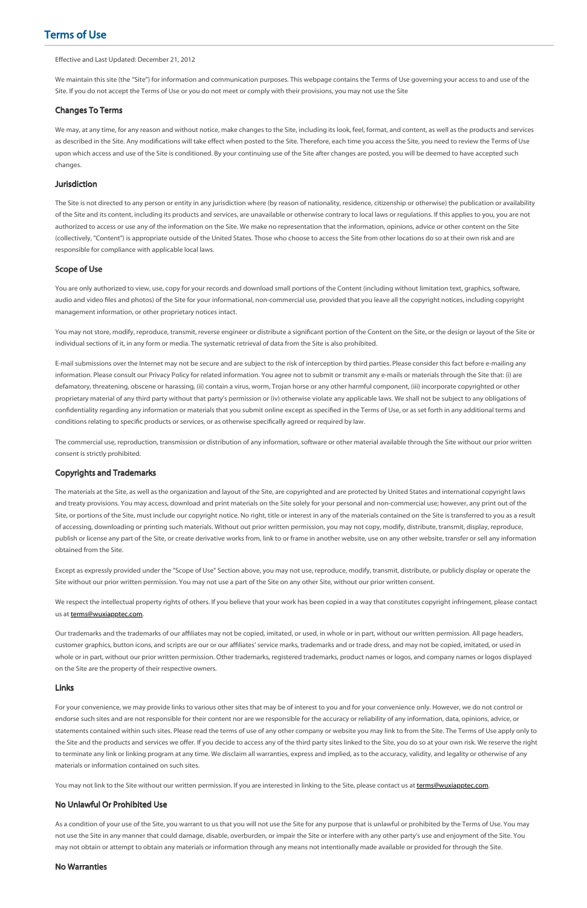# Terms of Use

#### Effective and Last Updated: December 21, 2012

We maintain this site (the "Site") for information and communication purposes. This webpage contains the Terms of Use governing your access to and use of the Site. If you do not accept the Terms of Use or you do not meet or comply with their provisions, you may not use the Site

### Changes To Terms

We may, at any time, for any reason and without notice, make changes to the Site, including its look, feel, format, and content, as well as the products and services as described in the Site. Any modifications will take effect when posted to the Site. Therefore, each time you access the Site, you need to review the Terms of Use upon which access and use of the Site is conditioned. By your continuing use of the Site after changes are posted, you will be deemed to have accepted such changes.

#### Jurisdiction

You may not store, modify, reproduce, transmit, reverse engineer or distribute a significant portion of the Content on the Site, or the design or layout of the Site or individual sections of it, in any form or media. The systematic retrieval of data from the Site is also prohibited.

E-mail submissions over the Internet may not be secure and are subject to the risk of interception by third parties. Please consider this fact before e-mailing any information. Please consult our Privacy Policy for related information. You agree not to submit or transmit any e-mails or materials through the Site that: (i) are defamatory, threatening, obscene or harassing, (ii) contain a virus, worm, Trojan horse or any other harmful component, (iii) incorporate copyrighted or other proprietary material of any third party without that party's permission or (iv) otherwise violate any applicable laws. We shall not be subject to any obligations of confidentiality regarding any information or materials that you submit online except as specified in the Terms of Use, or as set forth in any additional terms and conditions relating to specific products or services, or as otherwise specifically agreed or required by law.

The Site is not directed to any person or entity in any jurisdiction where (by reason of nationality, residence, citizenship or otherwise) the publication or availability of the Site and its content, including its products and services, are unavailable or otherwise contrary to local laws or regulations. If this applies to you, you are not authorized to access or use any of the information on the Site. We make no representation that the information, opinions, advice or other content on the Site (collectively, "Content") is appropriate outside of the United States. Those who choose to access the Site from other locations do so at their own risk and are responsible for compliance with applicable local laws.

#### Scope of Use

You are only authorized to view, use, copy for your records and download small portions of the Content (including without limitation text, graphics, software, audio and video files and photos) of the Site for your informational, non-commercial use, provided that you leave all the copyright notices, including copyright management information, or other proprietary notices intact.

We respect the intellectual property rights of others. If you believe that your work has been copied in a way that constitutes copyright infringement, please contact us at **[terms@wuxiapptec.com.](mailto:terms@wuxiapptec.com)** 

Our trademarks and the trademarks of our affiliates may not be copied, imitated, or used, in whole or in part, without our written permission. All page headers, customer graphics, button icons, and scripts are our or our afliates' service marks, trademarks and or trade dress, and may not be copied, imitated, or used in whole or in part, without our prior written permission. Other trademarks, registered trademarks, product names or logos, and company names or logos displayed on the Site are the property of their respective owners.

The commercial use, reproduction, transmission or distribution of any information, software or other material available through the Site without our prior written consent is strictly prohibited.

### Copyrights and Trademarks

The materials at the Site, as well as the organization and layout of the Site, are copyrighted and are protected by United States and international copyright laws and treaty provisions. You may access, download and print materials on the Site solely for your personal and non-commercial use; however, any print out of the Site, or portions of the Site, must include our copyright notice. No right, title or interest in any of the materials contained on the Site is transferred to you as a result of accessing, downloading or printing such materials. Without out prior written permission, you may not copy, modify, distribute, transmit, display, reproduce, publish or license any part of the Site, or create derivative works from, link to or frame in another website, use on any other website, transfer or sell any information obtained from the Site.

Except as expressly provided under the "Scope of Use" Section above, you may not use, reproduce, modify, transmit, distribute, or publicly display or operate the Site without our prior written permission. You may not use a part of the Site on any other Site, without our prior written consent.

# Links

For your convenience, we may provide links to various other sites that may be of interest to you and for your convenience only. However, we do not control or endorse such sites and are not responsible for their content nor are we responsible for the accuracy or reliability of any information, data, opinions, advice, or statements contained within such sites. Please read the terms of use of any other company or website you may link to from the Site. The Terms of Use apply only to the Site and the products and services we offer. If you decide to access any of the third party sites linked to the Site, you do so at your own risk. We reserve the right to terminate any link or linking program at any time. We disclaim all warranties, express and implied, as to the accuracy, validity, and legality or otherwise of any materials or information contained on such sites.

You may not link to the Site without our written permission. If you are interested in linking to the Site, please contact us at [terms@wuxiapptec.com](mailto:terms@wuxiapptec.com).

## No Unlawful Or Prohibited Use

As a condition of your use of the Site, you warrant to us that you will not use the Site for any purpose that is unlawful or prohibited by the Terms of Use. You may not use the Site in any manner that could damage, disable, overburden, or impair the Site or interfere with any other party's use and enjoyment of the Site. You may not obtain or attempt to obtain any materials or information through any means not intentionally made available or provided for through the Site.

#### No Warranties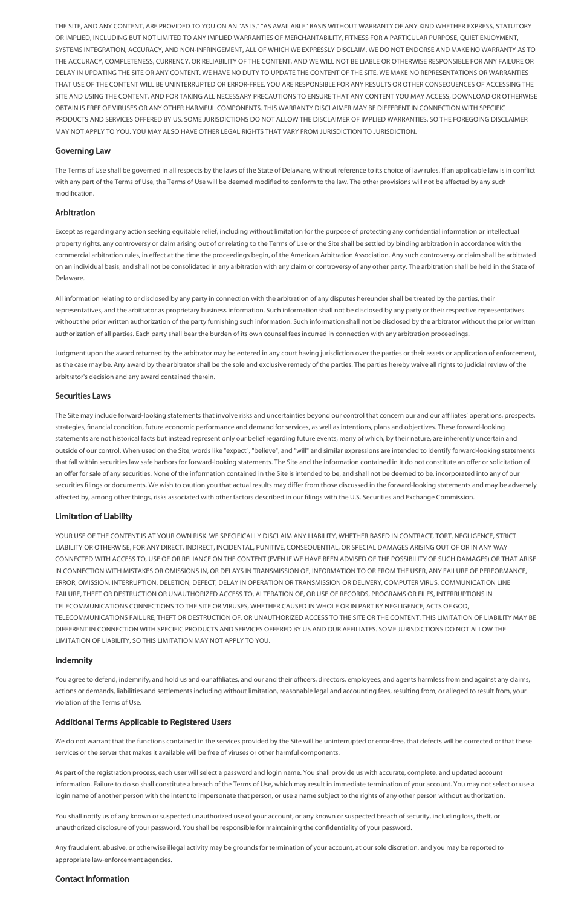THE SITE, AND ANY CONTENT, ARE PROVIDED TO YOU ON AN "AS IS," "AS AVAILABLE" BASIS WITHOUT WARRANTY OF ANY KIND WHETHER EXPRESS, STATUTORY OR IMPLIED, INCLUDING BUT NOT LIMITED TO ANY IMPLIED WARRANTIES OF MERCHANTABILITY, FITNESS FOR A PARTICULAR PURPOSE, QUIET ENJOYMENT, SYSTEMS INTEGRATION, ACCURACY, AND NON-INFRINGEMENT, ALL OF WHICH WE EXPRESSLY DISCLAIM. WE DO NOT ENDORSE AND MAKE NO WARRANTY AS TO THE ACCURACY, COMPLETENESS, CURRENCY, OR RELIABILITY OF THE CONTENT, AND WE WILL NOT BE LIABLE OR OTHERWISE RESPONSIBLE FOR ANY FAILURE OR DELAY IN UPDATING THE SITE OR ANY CONTENT. WE HAVE NO DUTY TO UPDATE THE CONTENT OF THE SITE. WE MAKE NO REPRESENTATIONS OR WARRANTIES THAT USE OF THE CONTENT WILL BE UNINTERRUPTED OR ERROR-FREE. YOU ARE RESPONSIBLE FOR ANY RESULTS OR OTHER CONSEQUENCES OF ACCESSING THE SITE AND USING THE CONTENT, AND FOR TAKING ALL NECESSARY PRECAUTIONS TO ENSURE THAT ANY CONTENT YOU MAY ACCESS, DOWNLOAD OR OTHERWISE OBTAIN IS FREE OF VIRUSES OR ANY OTHER HARMFUL COMPONENTS. THIS WARRANTY DISCLAIMER MAY BE DIFFERENT IN CONNECTION WITH SPECIFIC PRODUCTS AND SERVICES OFFERED BY US. SOME JURISDICTIONS DO NOT ALLOW THE DISCLAIMER OF IMPLIED WARRANTIES, SO THE FOREGOING DISCLAIMER MAY NOT APPLY TO YOU. YOU MAY ALSO HAVE OTHER LEGAL RIGHTS THAT VARY FROM JURISDICTION TO JURISDICTION.

# Governing Law

The Terms of Use shall be governed in all respects by the laws of the State of Delaware, without reference to its choice of law rules. If an applicable law is in conflict with any part of the Terms of Use, the Terms of Use will be deemed modified to conform to the law. The other provisions will not be affected by any such modification.

### Arbitration

The Site may include forward-looking statements that involve risks and uncertainties beyond our control that concern our and our afliates' operations, prospects, strategies, financial condition, future economic performance and demand for services, as well as intentions, plans and objectives. These forward-looking statements are not historical facts but instead represent only our belief regarding future events, many of which, by their nature, are inherently uncertain and outside of our control. When used on the Site, words like "expect", "believe", and "will" and similar expressions are intended to identify forward-looking statements that fall within securities law safe harbors for forward-looking statements. The Site and the information contained in it do not constitute an offer or solicitation of an offer for sale of any securities. None of the information contained in the Site is intended to be, and shall not be deemed to be, incorporated into any of our securities filings or documents. We wish to caution you that actual results may differ from those discussed in the forward-looking statements and may be adversely affected by, among other things, risks associated with other factors described in our filings with the U.S. Securities and Exchange Commission.

Except as regarding any action seeking equitable relief, including without limitation for the purpose of protecting any condential information or intellectual property rights, any controversy or claim arising out of or relating to the Terms of Use or the Site shall be settled by binding arbitration in accordance with the commercial arbitration rules, in effect at the time the proceedings begin, of the American Arbitration Association. Any such controversy or claim shall be arbitrated on an individual basis, and shall not be consolidated in any arbitration with any claim or controversy of any other party. The arbitration shall be held in the State of Delaware.

All information relating to or disclosed by any party in connection with the arbitration of any disputes hereunder shall be treated by the parties, their representatives, and the arbitrator as proprietary business information. Such information shall not be disclosed by any party or their respective representatives without the prior written authorization of the party furnishing such information. Such information shall not be disclosed by the arbitrator without the prior written authorization of all parties. Each party shall bear the burden of its own counsel fees incurred in connection with any arbitration proceedings.

You agree to defend, indemnify, and hold us and our affiliates, and our and their officers, directors, employees, and agents harmless from and against any claims, actions or demands, liabilities and settlements including without limitation, reasonable legal and accounting fees, resulting from, or alleged to result from, your violation of the Terms of Use.

Judgment upon the award returned by the arbitrator may be entered in any court having jurisdiction over the parties or their assets or application of enforcement, as the case may be. Any award by the arbitrator shall be the sole and exclusive remedy of the parties. The parties hereby waive all rights to judicial review of the arbitrator's decision and any award contained therein.

We do not warrant that the functions contained in the services provided by the Site will be uninterrupted or error-free, that defects will be corrected or that these services or the server that makes it available will be free of viruses or other harmful components.

### Securities Laws

# Limitation of Liability

YOUR USE OF THE CONTENT IS AT YOUR OWN RISK. WE SPECIFICALLY DISCLAIM ANY LIABILITY, WHETHER BASED IN CONTRACT, TORT, NEGLIGENCE, STRICT LIABILITY OR OTHERWISE, FOR ANY DIRECT, INDIRECT, INCIDENTAL, PUNITIVE, CONSEQUENTIAL, OR SPECIAL DAMAGES ARISING OUT OF OR IN ANY WAY CONNECTED WITH ACCESS TO, USE OF OR RELIANCE ON THE CONTENT (EVEN IF WE HAVE BEEN ADVISED OF THE POSSIBILITY OF SUCH DAMAGES) OR THAT ARISE IN CONNECTION WITH MISTAKES OR OMISSIONS IN, OR DELAYS IN TRANSMISSION OF, INFORMATION TO OR FROM THE USER, ANY FAILURE OF PERFORMANCE, ERROR, OMISSION, INTERRUPTION, DELETION, DEFECT, DELAY IN OPERATION OR TRANSMISSION OR DELIVERY, COMPUTER VIRUS, COMMUNICATION LINE FAILURE, THEFT OR DESTRUCTION OR UNAUTHORIZED ACCESS TO, ALTERATION OF, OR USE OF RECORDS, PROGRAMS OR FILES, INTERRUPTIONS IN TELECOMMUNICATIONS CONNECTIONS TO THE SITE OR VIRUSES, WHETHER CAUSED IN WHOLE OR IN PART BY NEGLIGENCE, ACTS OF GOD, TELECOMMUNICATIONS FAILURE, THEFT OR DESTRUCTION OF, OR UNAUTHORIZED ACCESS TO THE SITE OR THE CONTENT. THIS LIMITATION OF LIABILITY MAY BE DIFFERENT IN CONNECTION WITH SPECIFIC PRODUCTS AND SERVICES OFFERED BY US AND OUR AFFILIATES. SOME JURISDICTIONS DO NOT ALLOW THE LIMITATION OF LIABILITY, SO THIS LIMITATION MAY NOT APPLY TO YOU.

### Indemnity

# Additional Terms Applicable to Registered Users

As part of the registration process, each user will select a password and login name. You shall provide us with accurate, complete, and updated account information. Failure to do so shall constitute a breach of the Terms of Use, which may result in immediate termination of your account. You may not select or use a login name of another person with the intent to impersonate that person, or use a name subject to the rights of any other person without authorization.

You shall notify us of any known or suspected unauthorized use of your account, or any known or suspected breach of security, including loss, theft, or unauthorized disclosure of your password. You shall be responsible for maintaining the condentiality of your password.

Any fraudulent, abusive, or otherwise illegal activity may be grounds for termination of your account, at our sole discretion, and you may be reported to appropriate law-enforcement agencies.

# Contact Information